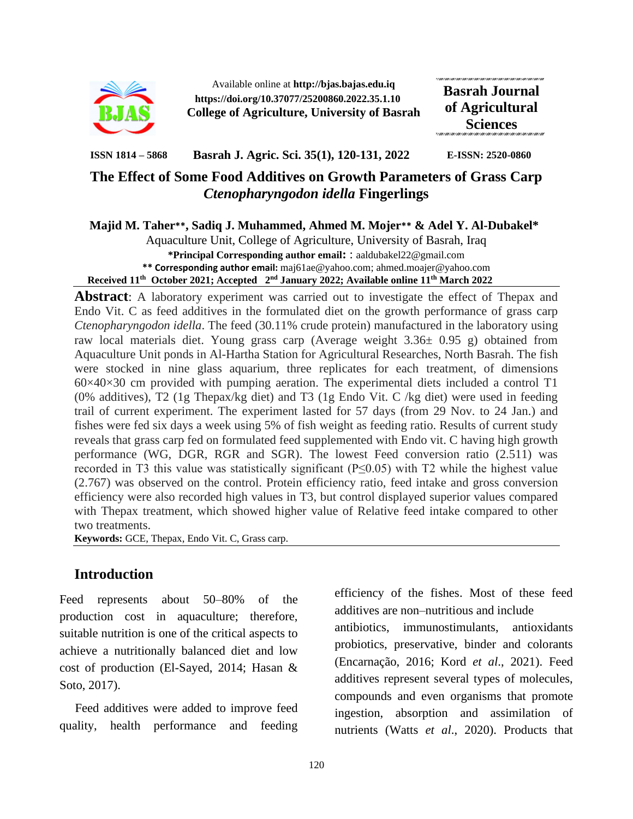

Available online at **http://bjas.bajas.edu.iq https://doi.org/10.37077/25200860.2022.35.1.10 College of Agriculture, University of Basrah** **Basrah Journal of Agricultural Sciences**

**ISSN 1814 – 5868 Basrah J. Agric. Sci. 35(1), 120-131, 2022 E-ISSN: 2520-0860**

# **The Effect of Some Food Additives on Growth Parameters of Grass Carp**  *Ctenopharyngodon idella* **Fingerlings**

**Majid M. Taher\*\*, Sadiq J. Muhammed, Ahmed M. Mojer\*\* & Adel Y. Al-Dubakel\***

Aquaculture Unit, College of Agriculture, University of Basrah, Iraq **\*Principal Corresponding author email:** : aaldubakel22@gmail.com **\*\* Corresponding author email:** maj61ae@yahoo.com; ahmed.moajer@yahoo.com **Received 11th October 2021; Accepted 2 nd January 2022; Available online 11th March 2022**

**Abstract**: A laboratory experiment was carried out to investigate the effect of Thepax and Endo Vit. C as feed additives in the formulated diet on the growth performance of grass carp *Ctenopharyngodon idella*. The feed (30.11% crude protein) manufactured in the laboratory using raw local materials diet. Young grass carp (Average weight 3.36± 0.95 g) obtained from Aquaculture Unit ponds in Al-Hartha Station for Agricultural Researches, North Basrah. The fish were stocked in nine glass aquarium, three replicates for each treatment, of dimensions  $60\times40\times30$  cm provided with pumping aeration. The experimental diets included a control T1 (0% additives), T2 (1g Thepax/kg diet) and T3 (1g Endo Vit. C /kg diet) were used in feeding trail of current experiment. The experiment lasted for 57 days (from 29 Nov. to 24 Jan.) and fishes were fed six days a week using 5% of fish weight as feeding ratio. Results of current study reveals that grass carp fed on formulated feed supplemented with Endo vit. C having high growth performance (WG, DGR, RGR and SGR). The lowest Feed conversion ratio (2.511) was recorded in T3 this value was statistically significant ( $P \le 0.05$ ) with T2 while the highest value (2.767) was observed on the control. Protein efficiency ratio, feed intake and gross conversion efficiency were also recorded high values in T3, but control displayed superior values compared with Thepax treatment, which showed higher value of Relative feed intake compared to other two treatments.

**Keywords:** GCE, Thepax, Endo Vit. C, Grass carp.

## **Introduction**

Feed represents about 50–80% of the production cost in aquaculture; therefore, suitable nutrition is one of the critical aspects to achieve a nutritionally balanced diet and low cost of production (El-Sayed, 2014; Hasan & Soto, 2017).

 Feed additives were added to improve feed quality, health performance and feeding

efficiency of the fishes. Most of these feed additives are non–nutritious and include antibiotics, immunostimulants, antioxidants probiotics, preservative, binder and colorants (Encarnação, 2016; Kord *et al*., 2021). Feed additives represent several types of molecules, compounds and even organisms that promote ingestion, absorption and assimilation of nutrients (Watts *et al*., 2020). Products that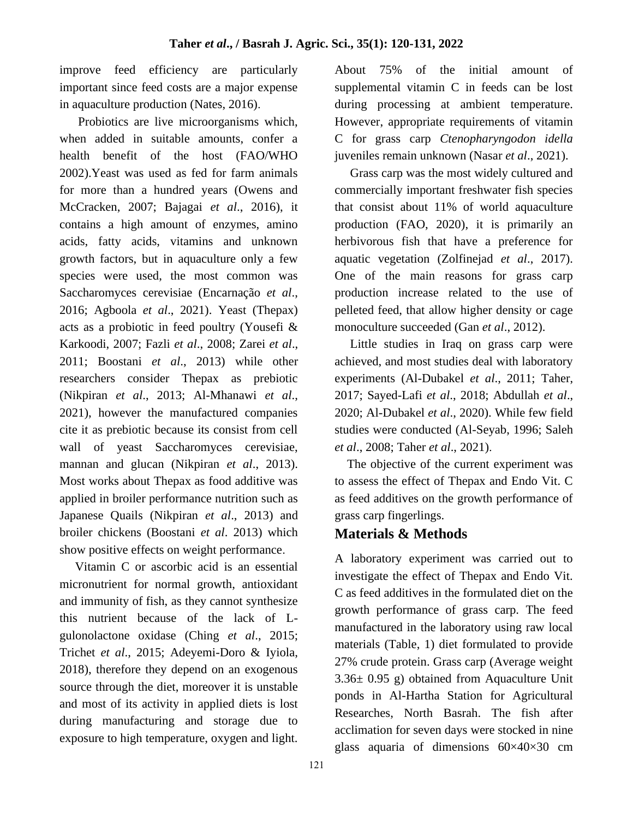improve feed efficiency are particularly important since feed costs are a major expense in aquaculture production (Nates, 2016).

 Probiotics are live microorganisms which, when added in suitable amounts, confer a health benefit of the host (FAO/WHO 2002).Yeast was used as fed for farm animals for more than a hundred years (Owens and McCracken, 2007; Bajagai *et al*., 2016), it contains a high amount of enzymes, amino acids, fatty acids, vitamins and unknown growth factors, but in aquaculture only a few species were used, the most common was Saccharomyces cerevisiae (Encarnação *et al*., 2016; Agboola *et al*., 2021). Yeast (Thepax) acts as a probiotic in feed poultry (Yousefi & Karkoodi, 2007; Fazli *et al*., 2008; Zarei *et al*., 2011; Boostani *et al*., 2013) while other researchers consider Thepax as prebiotic (Nikpiran *et al*., 2013; Al-Mhanawi *et al*., 2021), however the manufactured companies cite it as prebiotic because its consist from cell wall of yeast Saccharomyces cerevisiae, mannan and glucan (Nikpiran *et al*., 2013). Most works about Thepax as food additive was applied in broiler performance nutrition such as Japanese Quails (Nikpiran *et al*., 2013) and broiler chickens (Boostani *et al*. 2013) which show positive effects on weight performance.

 Vitamin C or ascorbic acid is an essential micronutrient for normal growth, antioxidant and immunity of fish, as they cannot synthesize this nutrient because of the lack of Lgulonolactone oxidase (Ching *et al*., 2015; Trichet *et al*., 2015; Adeyemi-Doro & Iyiola, 2018), therefore they depend on an exogenous source through the diet, moreover it is unstable and most of its activity in applied diets is lost during manufacturing and storage due to exposure to high temperature, oxygen and light.

About 75% of the initial amount of supplemental vitamin C in feeds can be lost during processing at ambient temperature. However, appropriate requirements of vitamin C for grass carp *Ctenopharyngodon idella* juveniles remain unknown (Nasar *et al*., 2021).

 Grass carp was the most widely cultured and commercially important freshwater fish species that consist about 11% of world aquaculture production (FAO, 2020), it is primarily an herbivorous fish that have a preference for aquatic vegetation (Zolfinejad *et al*., 2017). One of the main reasons for grass carp production increase related to the use of pelleted feed, that allow higher density or cage monoculture succeeded (Gan *et al*., 2012).

 Little studies in Iraq on grass carp were achieved, and most studies deal with laboratory experiments (Al-Dubakel *et al*., 2011; Taher, 2017; Sayed-Lafi *et al*., 2018; Abdullah *et al*., 2020; Al-Dubakel *et al*., 2020). While few field studies were conducted (Al-Seyab, 1996; Saleh *et al*., 2008; Taher *et al*., 2021).

 The objective of the current experiment was to assess the effect of Thepax and Endo Vit. C as feed additives on the growth performance of grass carp fingerlings.

# **Materials & Methods**

A laboratory experiment was carried out to investigate the effect of Thepax and Endo Vit. C as feed additives in the formulated diet on the growth performance of grass carp. The feed manufactured in the laboratory using raw local materials (Table, 1) diet formulated to provide 27% crude protein. Grass carp (Average weight  $3.36\pm 0.95$  g) obtained from Aquaculture Unit ponds in Al-Hartha Station for Agricultural Researches, North Basrah. The fish after acclimation for seven days were stocked in nine glass aquaria of dimensions  $60 \times 40 \times 30$  cm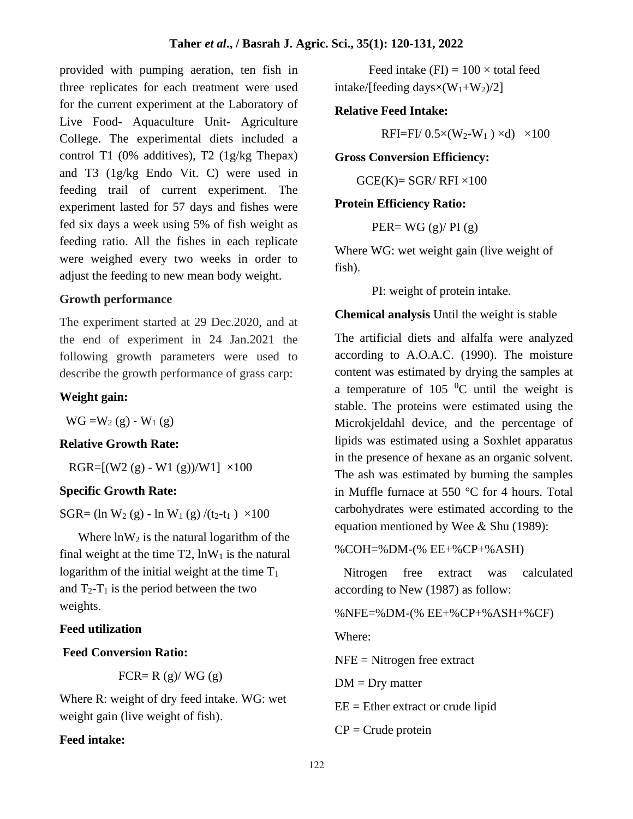provided with pumping aeration, ten fish in three replicates for each treatment were used for the current experiment at the Laboratory of Live Food- Aquaculture Unit- Agriculture College. The experimental diets included a control T1 (0% additives), T2 (1g/kg Thepax) and T3 (1g/kg Endo Vit. C) were used in feeding trail of current experiment. The experiment lasted for 57 days and fishes were fed six days a week using 5% of fish weight as feeding ratio. All the fishes in each replicate were weighed every two weeks in order to adjust the feeding to new mean body weight.

### **Growth performance**

The experiment started at 29 Dec.2020, and at the end of experiment in 24 Jan.2021 the following growth parameters were used to describe the growth performance of grass carp:

## **Weight gain:**

 $WG = W_2(g) - W_1(g)$ 

## **Relative Growth Rate:**

RGR= $[(W2 (g) - W1 (g))/W1] \times 100$ 

#### **Specific Growth Rate:**

SGR= (ln W<sub>2</sub> (g) - ln W<sub>1</sub> (g) /(t<sub>2</sub>-t<sub>1</sub>)  $\times$ 100

Where  $ln W_2$  is the natural logarithm of the final weight at the time  $T2$ ,  $lnW_1$  is the natural logarithm of the initial weight at the time  $T_1$ and  $T_2-T_1$  is the period between the two weights.

## **Feed utilization**

#### **Feed Conversion Ratio:**

FCR= R  $(g)/$  WG  $(g)$ 

Where R: weight of dry feed intake. WG: wet weight gain (live weight of fish).

## **Feed intake:**

Feed intake (FI) =  $100 \times$  total feed intake/[feeding days $\times$ (W<sub>1</sub>+W<sub>2</sub>)/2]

### **Relative Feed Intake:**

RFI=FI/  $0.5 \times (W_2-W_1) \times d$   $\times 100$ 

#### **Gross Conversion Efficiency:**

 $GCE(K)=SGR/RFI \times 100$ 

#### **Protein Efficiency Ratio:**

PER=  $WG$  (g)/ PI (g)

Where WG: wet weight gain (live weight of fish).

PI: weight of protein intake.

**Chemical analysis** Until the weight is stable

The artificial diets and alfalfa were analyzed according to A.O.A.C. (1990). The moisture content was estimated by drying the samples at a temperature of 105  $^{0}$ C until the weight is stable. The proteins were estimated using the Microkjeldahl device, and the percentage of lipids was estimated using a Soxhlet apparatus in the presence of hexane as an organic solvent. The ash was estimated by burning the samples in Muffle furnace at 550 °C for 4 hours. Total carbohydrates were estimated according to the equation mentioned by Wee & Shu (1989):

%COH=%DM-(% EE+%CP+%ASH)

 Nitrogen free extract was calculated according to New (1987) as follow:

%NFE=%DM-(% EE+%CP+%ASH+%CF)

Where:

NFE = Nitrogen free extract

 $DM = Dry$  matter

 $EE = Ethernet$  extract or crude lipid

 $CP =$ Crude protein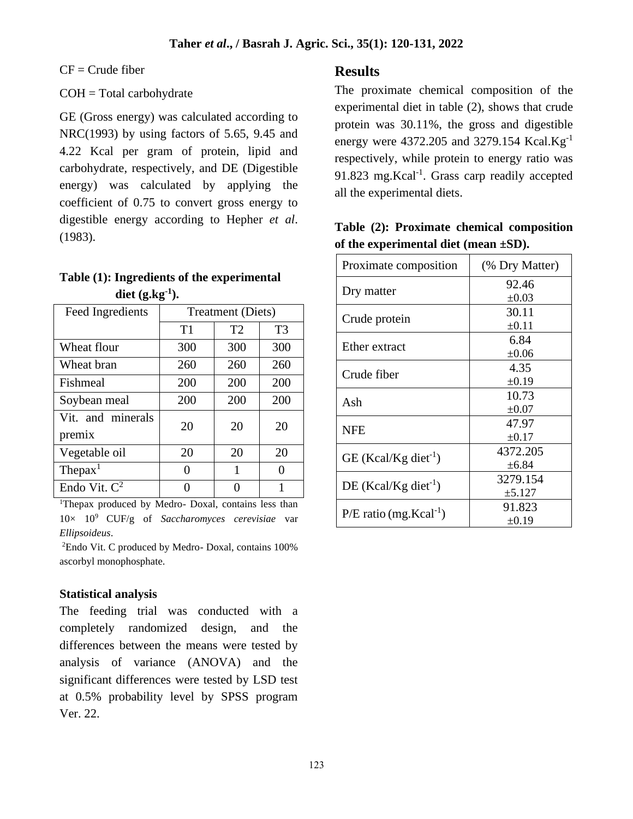$CF = Crude fiber$ 

## COH = Total carbohydrate

GE (Gross energy) was calculated according to NRC(1993) by using factors of 5.65, 9.45 and 4.22 Kcal per gram of protein, lipid and carbohydrate, respectively, and DE (Digestible energy) was calculated by applying the coefficient of 0.75 to convert gross energy to digestible energy according to Hepher *et al*. (1983).

| Table (1): Ingredients of the experimental |
|--------------------------------------------|
| diet $(g.kg^{-1})$ .                       |

| Feed Ingredients            | <b>Treatment</b> (Diets) |                |                |  |  |
|-----------------------------|--------------------------|----------------|----------------|--|--|
|                             | T1                       | T <sub>2</sub> | T <sub>3</sub> |  |  |
| Wheat flour                 | 300                      | 300            | 300            |  |  |
| Wheat bran                  | 260                      | 260            | 260            |  |  |
| Fishmeal                    | 200                      | 200            | 200            |  |  |
| Soybean meal                | 200                      | 200            | 200            |  |  |
| Vit. and minerals<br>premix | 20                       | 20             | 20             |  |  |
| Vegetable oil               | 20                       | 20             | 20             |  |  |
| $The$ pax $1$               | ∩                        | 1              | 0              |  |  |
| Endo Vit. $C^2$             |                          |                |                |  |  |

<sup>1</sup>Thepax produced by Medro- Doxal, contains less than 10× 10<sup>9</sup>CUF/g of *Saccharomyces cerevisiae* var *Ellipsoideus*.

<sup>2</sup>Endo Vit. C produced by Medro- Doxal, contains 100% ascorbyl monophosphate.

## **Statistical analysis**

The feeding trial was conducted with a completely randomized design, and the differences between the means were tested by analysis of variance (ANOVA) and the significant differences were tested by LSD test at 0.5% probability level by SPSS program Ver. 22.

## **Results**

The proximate chemical composition of the experimental diet in table (2), shows that crude protein was 30.11%, the gross and digestible energy were 4372.205 and 3279.154 Kcal.Kg<sup>-1</sup> respectively, while protein to energy ratio was 91.823 mg.Kcal<sup>-1</sup>. Grass carp readily accepted all the experimental diets.

|  |                                            | Table (2): Proximate chemical composition |
|--|--------------------------------------------|-------------------------------------------|
|  | of the experimental diet (mean $\pm SD$ ). |                                           |

| Proximate composition                | (% Dry Matter) |
|--------------------------------------|----------------|
|                                      | 92.46          |
| Dry matter                           | $\pm 0.03$     |
| Crude protein                        | 30.11          |
|                                      | $\pm 0.11$     |
| Ether extract                        | 6.84           |
|                                      | $\pm 0.06$     |
| Crude fiber                          | 4.35           |
|                                      | $\pm 0.19$     |
| Ash                                  | 10.73          |
|                                      | $\pm 0.07$     |
| <b>NFE</b>                           | 47.97          |
|                                      | $\pm 0.17$     |
| $GE$ (Kcal/Kg diet <sup>-1</sup> )   | 4372.205       |
|                                      | $\pm 6.84$     |
|                                      | 3279.154       |
| $DE$ (Kcal/Kg diet <sup>-1</sup> )   | $\pm 5.127$    |
| $P/E$ ratio (mg.Kcal <sup>-1</sup> ) | 91.823         |
|                                      | $\pm 0.19$     |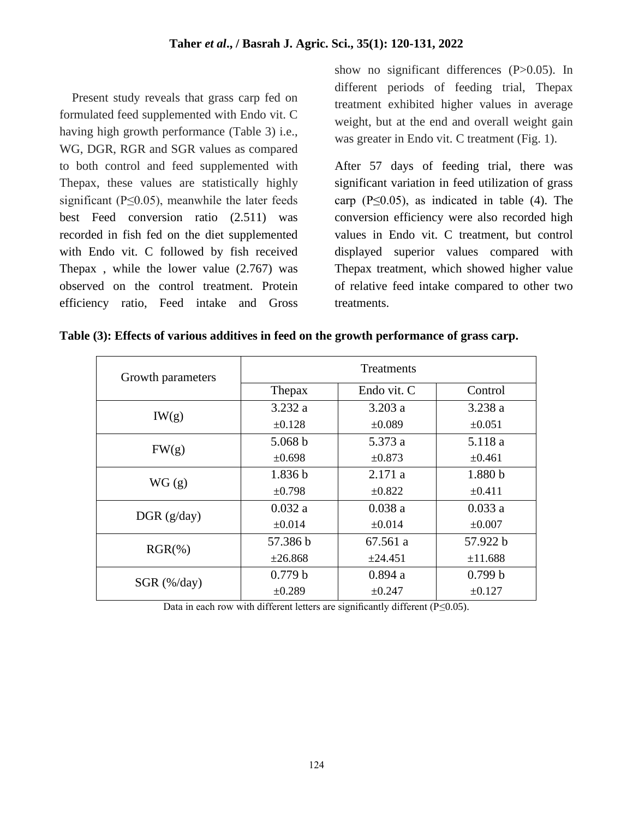Present study reveals that grass carp fed on formulated feed supplemented with Endo vit. C having high growth performance (Table 3) i.e., WG, DGR, RGR and SGR values as compared to both control and feed supplemented with Thepax, these values are statistically highly significant ( $P \le 0.05$ ), meanwhile the later feeds best Feed conversion ratio (2.511) was recorded in fish fed on the diet supplemented with Endo vit. C followed by fish received Thepax , while the lower value (2.767) was observed on the control treatment. Protein efficiency ratio, Feed intake and Gross

show no significant differences (P>0.05). In different periods of feeding trial, Thepax treatment exhibited higher values in average weight, but at the end and overall weight gain was greater in Endo vit. C treatment (Fig. 1).

After 57 days of feeding trial, there was significant variation in feed utilization of grass carp ( $P \le 0.05$ ), as indicated in table (4). The conversion efficiency were also recorded high values in Endo vit. C treatment, but control displayed superior values compared with Thepax treatment, which showed higher value of relative feed intake compared to other two treatments.

| Growth parameters | Treatments         |              |                    |  |  |
|-------------------|--------------------|--------------|--------------------|--|--|
|                   | Thepax             | Endo vit. C  | Control            |  |  |
| IW(g)             | 3.232a             | 3.203 a      | 3.238a             |  |  |
|                   | $\pm 0.128$        | $\pm 0.089$  | $\pm 0.051$        |  |  |
| FW(g)             | 5.068 b            | 5.373 a      | 5.118 a            |  |  |
|                   | $\pm 0.698$        | ±0.873       | $\pm 0.461$        |  |  |
| WG(g)             | 1.836 <sub>b</sub> | 2.171a       | 1.880 <sub>b</sub> |  |  |
|                   | $\pm 0.798$        | $\pm 0.822$  | $\pm 0.411$        |  |  |
| DGR(g/day)        | 0.032a             | 0.038a       | 0.033a             |  |  |
|                   | $\pm 0.014$        | $\pm 0.014$  | $\pm 0.007$        |  |  |
| $RGR(\% )$        | 57.386 b           | 67.561 a     | 57.922 b           |  |  |
|                   | ±26.868            | $\pm 24.451$ | ±11.688            |  |  |
| $SGR$ (%/day)     | 0.779 b            | 0.894a       | 0.799 b            |  |  |
|                   | $\pm 0.289$        | $\pm 0.247$  | $\pm 0.127$        |  |  |

|  |  |  |  | Table (3): Effects of various additives in feed on the growth performance of grass carp. |  |  |
|--|--|--|--|------------------------------------------------------------------------------------------|--|--|
|  |  |  |  |                                                                                          |  |  |
|  |  |  |  |                                                                                          |  |  |
|  |  |  |  |                                                                                          |  |  |

Data in each row with different letters are significantly different ( $P \le 0.05$ ).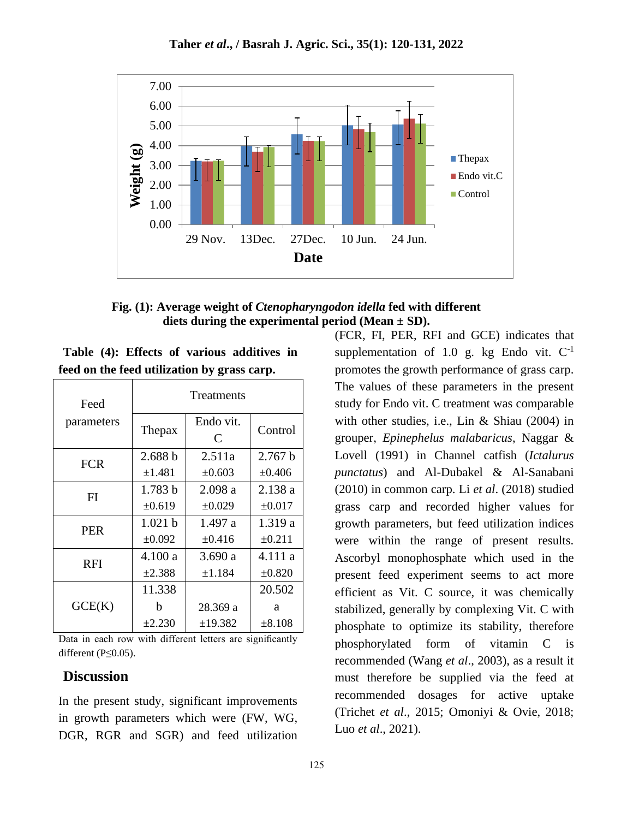

**Fig. (1): Average weight of** *Ctenopharyngodon idella* **fed with different diets during the experimental period (Mean ± SD).** 

|  |  | Table (4): Effects of various additives in  |  |
|--|--|---------------------------------------------|--|
|  |  | feed on the feed utilization by grass carp. |  |

| Feed       | Treatments  |                |             |  |  |
|------------|-------------|----------------|-------------|--|--|
| parameters | Thepax      | Endo vit.<br>C | Control     |  |  |
| <b>FCR</b> | 2.688 b     | 2.511a         | 2.767 b     |  |  |
|            | ±1.481      | $\pm 0.603$    | $\pm 0.406$ |  |  |
| FI         | 1.783 b     | 2.098 a        | 2.138 a     |  |  |
|            | ±0.619      | $\pm 0.029$    | $\pm 0.017$ |  |  |
| <b>PER</b> | 1.021 b     | 1.497 a        | 1.319 a     |  |  |
|            | $\pm 0.092$ | $\pm 0.416$    | $\pm 0.211$ |  |  |
| <b>RFI</b> | 4.100a      | 3.690 a        | 4.111 a     |  |  |
|            | ±2.388      | ±1.184         | ±0.820      |  |  |
|            | 11.338      |                | 20.502      |  |  |
| GCE(K)     | h           | 28.369 a       | a           |  |  |
|            | $\pm 2.230$ | $\pm 19.382$   | $\pm 8.108$ |  |  |

Data in each row with different letters are significantly different (P≤0.05).

## **Discussion**

In the present study, significant improvements in growth parameters which were (FW, WG, DGR, RGR and SGR) and feed utilization

(FCR, FI, PER, RFI and GCE) indicates that supplementation of 1.0 g. kg Endo vit.  $C^{-1}$ promotes the growth performance of grass carp. The values of these parameters in the present study for Endo vit. C treatment was comparable with other studies, i.e., Lin & Shiau (2004) in grouper, *Epinephelus malabaricus*, Naggar & Lovell (1991) in Channel catfish (*Ictalurus punctatus*) and Al-Dubakel & Al-Sanabani (2010) in common carp. Li *et al*. (2018) studied grass carp and recorded higher values for growth parameters, but feed utilization indices were within the range of present results. Ascorbyl monophosphate which used in the present feed experiment seems to act more efficient as Vit. C source, it was chemically stabilized, generally by complexing Vit. C with phosphate to optimize its stability, therefore phosphorylated form of vitamin C is recommended (Wang *et al*., 2003), as a result it must therefore be supplied via the feed at recommended dosages for active uptake (Trichet *et al*., 2015; Omoniyi & Ovie, 2018; Luo *et al*., 2021).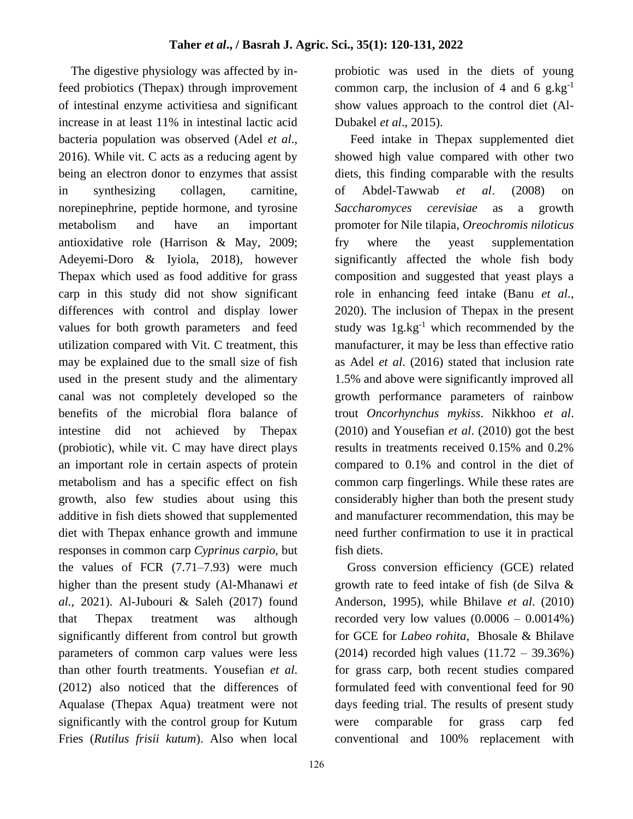The digestive physiology was affected by infeed probiotics (Thepax) through improvement of intestinal enzyme activitiesa and significant increase in at least 11% in intestinal lactic acid bacteria population was observed (Adel *et al*., 2016). While vit. C acts as a reducing agent by being an electron donor to enzymes that assist in synthesizing collagen, carnitine, norepinephrine, peptide hormone, and tyrosine metabolism and have an important antioxidative role (Harrison & May, 2009; Adeyemi-Doro & Iyiola, 2018), however Thepax which used as food additive for grass carp in this study did not show significant differences with control and display lower values for both growth parameters and feed utilization compared with Vit. C treatment, this may be explained due to the small size of fish used in the present study and the alimentary canal was not completely developed so the benefits of the microbial flora balance of intestine did not achieved by Thepax (probiotic), while vit. C may have direct plays an important role in certain aspects of protein metabolism and has a specific effect on fish growth, also few studies about using this additive in fish diets showed that supplemented diet with Thepax enhance growth and immune responses in common carp *Cyprinus carpio,* but the values of FCR (7.71–7.93) were much higher than the present study (Al-Mhanawi *et al.,* 2021). Al-Jubouri & Saleh (2017) found that Thepax treatment was although significantly different from control but growth parameters of common carp values were less than other fourth treatments. Yousefian *et al*. (2012) also noticed that the differences of Aqualase (Thepax Aqua) treatment were not significantly with the control group for Kutum Fries (*Rutilus frisii kutum*). Also when local

probiotic was used in the diets of young common carp, the inclusion of 4 and 6  $g \text{.} kg^{-1}$ show values approach to the control diet (Al-Dubakel *et al*., 2015).

 Feed intake in Thepax supplemented diet showed high value compared with other two diets, this finding comparable with the results of Abdel-Tawwab *et al*. (2008) on *Saccharomyces cerevisiae* as a growth promoter for Nile tilapia, *Oreochromis niloticus* fry where the yeast supplementation significantly affected the whole fish body composition and suggested that yeast plays a role in enhancing feed intake (Banu *et al*., 2020). The inclusion of Thepax in the present study was  $1g \text{.} kg^{-1}$  which recommended by the manufacturer, it may be less than effective ratio as Adel *et al*. (2016) stated that inclusion rate 1.5% and above were significantly improved all growth performance parameters of rainbow trout *Oncorhynchus mykiss*. Nikkhoo *et al*. (2010) and Yousefian *et al*. (2010) got the best results in treatments received 0.15% and 0.2% compared to 0.1% and control in the diet of common carp fingerlings. While these rates are considerably higher than both the present study and manufacturer recommendation, this may be need further confirmation to use it in practical fish diets.

 Gross conversion efficiency (GCE) related growth rate to feed intake of fish (de Silva & Anderson, 1995), while Bhilave *et al*. (2010) recorded very low values  $(0.0006 - 0.0014\%)$ for GCE for *Labeo rohita*, Bhosale & Bhilave (2014) recorded high values (11.72 – 39.36%) for grass carp, both recent studies compared formulated feed with conventional feed for 90 days feeding trial. The results of present study were comparable for grass carp fed conventional and 100% replacement with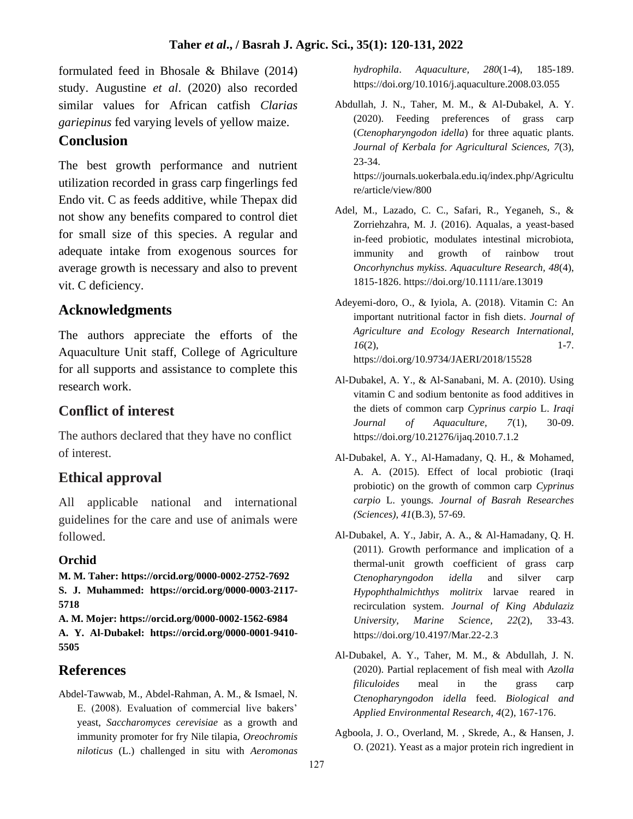formulated feed in Bhosale & Bhilave (2014) study. Augustine *et al*. (2020) also recorded similar values for African catfish *Clarias gariepinus* fed varying levels of yellow maize.

# **Conclusion**

The best growth performance and nutrient utilization recorded in grass carp fingerlings fed Endo vit. C as feeds additive, while Thepax did not show any benefits compared to control diet for small size of this species. A regular and adequate intake from exogenous sources for average growth is necessary and also to prevent vit. C deficiency.

# **Acknowledgments**

The authors appreciate the efforts of the Aquaculture Unit staff, College of Agriculture for all supports and assistance to complete this research work.

# **Conflict of interest**

The authors declared that they have no conflict of interest.

# **Ethical approval**

All applicable national and international guidelines for the care and use of animals were followed.

## **Orchid**

**M. M. Taher: https://orcid.org/0000-0002-2752-7692 S. J. Muhammed: https://orcid.org/0000-0003-2117- 5718**

**A. M. Mojer: https://orcid.org/0000-0002-1562-6984 A. Y. Al-Dubakel: https://orcid.org/0000-0001-9410- 5505**

# **References**

Abdel-Tawwab, M., Abdel-Rahman, A. M., & Ismael, N. E. (2008). Evaluation of commercial live bakers' yeast, *Saccharomyces cerevisiae* as a growth and immunity promoter for fry Nile tilapia, *Oreochromis niloticus* (L.) challenged in situ with *Aeromonas*  *hydrophila*. *Aquaculture, 280*(1-4), 185-189. https://doi.org/10.1016/j.aquaculture.2008.03.055

Abdullah, J. N., Taher, M. M., & Al-Dubakel, A. Y. (2020). Feeding preferences of grass carp (*Ctenopharyngodon idella*) for three aquatic plants. *Journal of Kerbala for Agricultural Sciences, 7*(3), 23-34.

https://journals.uokerbala.edu.iq/index.php/Agricultu re/article/view/800

- Adel, M., Lazado, C. C., Safari, R., Yeganeh, S., & Zorriehzahra, M. J. (2016). Aqualas, a yeast-based in-feed probiotic, modulates intestinal microbiota, immunity and growth of rainbow trout *Oncorhynchus mykiss*. *Aquaculture Research, 48*(4), 1815-1826. https://doi.org/10.1111/are.13019
- Adeyemi-doro, O., & Iyiola, A. (2018). Vitamin C: An important nutritional factor in fish diets. *Journal of Agriculture and Ecology Research International, 16*(2), 1-7. https://doi.org/10.9734/JAERI/2018/15528
- Al-Dubakel, A. Y., & Al-Sanabani, M. A. (2010). Using vitamin C and sodium bentonite as food additives in the diets of common carp *Cyprinus carpio* L. *Iraqi Journal of Aquaculture, 7*(1), 30-09. https://doi.org/10.21276/ijaq.2010.7.1.2
- Al-Dubakel, A. Y., Al-Hamadany, Q. H., & Mohamed, A. A. (2015). Effect of local probiotic (Iraqi probiotic) on the growth of common carp *Cyprinus carpio* L. youngs. *Journal of Basrah Researches (Sciences), 41*(B.3), 57-69.
- Al-Dubakel, A. Y., Jabir, A. A., & Al-Hamadany, Q. H. (2011). Growth performance and implication of a thermal-unit growth coefficient of grass carp *Ctenopharyngodon idella* and silver carp *Hypophthalmichthys molitrix* larvae reared in recirculation system. *Journal of King Abdulaziz University, Marine Science, 22*(2), 33-43. https://doi.org/10.4197/Mar.22-2.3
- Al-Dubakel, A. Y., Taher, M. M., & Abdullah, J. N. (2020). Partial replacement of fish meal with *Azolla filiculoides* meal in the grass carp *Ctenopharyngodon idella* feed. *Biological and Applied Environmental Research, 4*(2), 167-176.
- Agboola, J. O., Overland, M. , Skrede, A., & Hansen, J. O. (2021). Yeast as a major protein rich ingredient in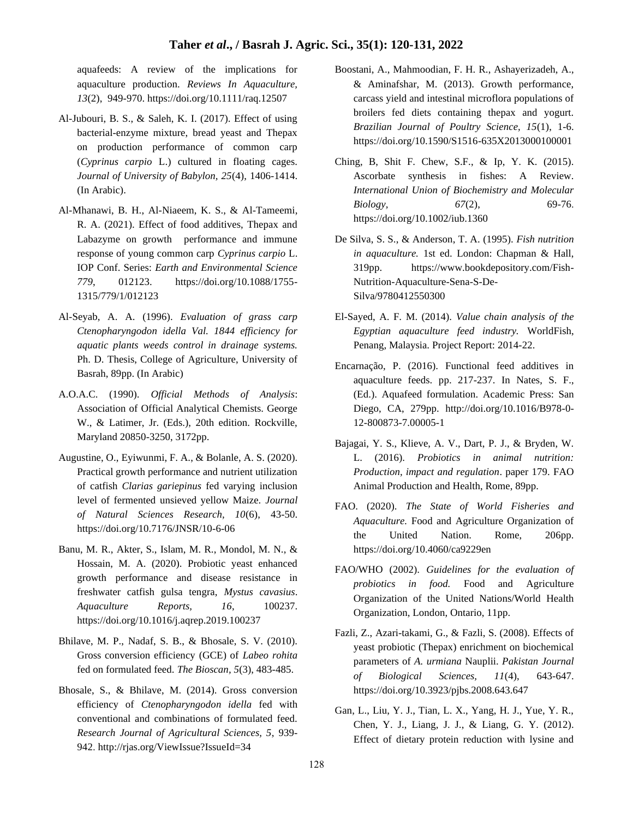aquafeeds: A review of the implications for aquaculture production. *Reviews In Aquaculture, 13*(2), 949-970. https://doi.org/10.1111/raq.12507

- Al-Jubouri, B. S., & Saleh, K. I. (2017). Effect of using bacterial-enzyme mixture, bread yeast and Thepax on production performance of common carp (*Cyprinus carpio* L.) cultured in floating cages. *Journal of University of Babylon, 25*(4), 1406-1414. (In Arabic).
- Al-Mhanawi, B. H., Al-Niaeem, K. S., & Al-Tameemi, R. A. (2021). Effect of food additives, Thepax and Labazyme on growth performance and immune response of young common carp *Cyprinus carpio* L. IOP Conf. Series: *Earth and Environmental Science 779*, 012123. https://doi.org/10.1088/1755- 1315/779/1/012123
- Al-Seyab, A. A. (1996). *Evaluation of grass carp Ctenopharyngodon idella Val. 1844 efficiency for aquatic plants weeds control in drainage systems.* Ph. D. Thesis, College of Agriculture, University of Basrah, 89pp. (In Arabic)
- A.O.A.C. (1990). *Official Methods of Analysis*: Association of Official Analytical Chemists. George W., & Latimer, Jr. (Eds.), 20th edition. Rockville, Maryland 20850-3250, 3172pp.
- Augustine, O., Eyiwunmi, F. A., & Bolanle, A. S. (2020). Practical growth performance and nutrient utilization of catfish *Clarias gariepinus* fed varying inclusion level of fermented unsieved yellow Maize. *Journal of Natural Sciences Research, 10*(6), 43-50. https://doi.org/10.7176/JNSR/10-6-06
- Banu, M. R., Akter, S., Islam, M. R., Mondol, M. N., & Hossain, M. A. (2020). Probiotic yeast enhanced growth performance and disease resistance in freshwater catfish gulsa tengra, *Mystus cavasius*. *Aquaculture Reports, 16*, 100237. https://doi.org/10.1016/j.aqrep.2019.100237
- Bhilave, M. P., Nadaf, S. B., & Bhosale, S. V. (2010). Gross conversion efficiency (GCE) of *Labeo rohita* fed on formulated feed. *The Bioscan, 5*(3), 483-485.
- Bhosale, S., & Bhilave, M. (2014). Gross conversion efficiency of *Ctenopharyngodon idella* fed with conventional and combinations of formulated feed. *Research Journal of Agricultural Sciences, 5*, 939- 942. http://rjas.org/ViewIssue?IssueId=34
- Boostani, A., Mahmoodian, F. H. R., Ashayerizadeh, A., & Aminafshar, M. (2013). Growth performance, carcass yield and intestinal microflora populations of broilers fed diets containing thepax and yogurt. *Brazilian Journal of Poultry Science, 15*(1), 1-6. https://doi.org/10.1590/S1516-635X2013000100001
- Ching, B, Shit F. Chew, S.F., & Ip, Y. K. (2015). Ascorbate synthesis in fishes: A Review. *International Union of Biochemistry and Molecular Biology*, 67(2), 69-76. https://doi.org/10.1002/iub.1360
- De Silva, S. S., & Anderson, T. A. (1995). *Fish nutrition in aquaculture.* 1st ed. London: Chapman & Hall, 319pp. https://www.bookdepository.com/Fish-Nutrition-Aquaculture-Sena-S-De-Silva/9780412550300
- El-Sayed, A. F. M. (2014). *Value chain analysis of the Egyptian aquaculture feed industry.* WorldFish, Penang, Malaysia. Project Report: 2014-22.
- Encarnação, P. (2016). Functional feed additives in aquaculture feeds. pp. 217-237. In Nates, S. F., (Ed.). Aquafeed formulation. Academic Press: San Diego, CA, 279pp. http://doi.org/10.1016/B978-0- 12-800873-7.00005-1
- Bajagai, Y. S., Klieve, A. V., Dart, P. J., & Bryden, W. L. (2016). *Probiotics in animal nutrition: Production, impact and regulation*. paper 179. FAO Animal Production and Health, Rome, 89pp.
- FAO. (2020). *The State of World Fisheries and Aquaculture.* Food and Agriculture Organization of the United Nation. Rome, 206pp. https://doi.org/10.4060/ca9229en
- FAO/WHO (2002). *Guidelines for the evaluation of probiotics in food.* Food and Agriculture Organization of the United Nations/World Health Organization, London, Ontario, 11pp.
- Fazli, Z., Azari-takami, G., & Fazli, S. (2008). Effects of yeast probiotic (Thepax) enrichment on biochemical parameters of *A. urmiana* Nauplii. *Pakistan Journal of Biological Sciences, 11*(4), 643-647. https://doi.org/10.3923/pjbs.2008.643.647
- Gan, L., Liu, Y. J., Tian, L. X., Yang, H. J., Yue, Y. R., Chen, Y. J., Liang, J. J., & Liang, G. Y. (2012). Effect of dietary protein reduction with lysine and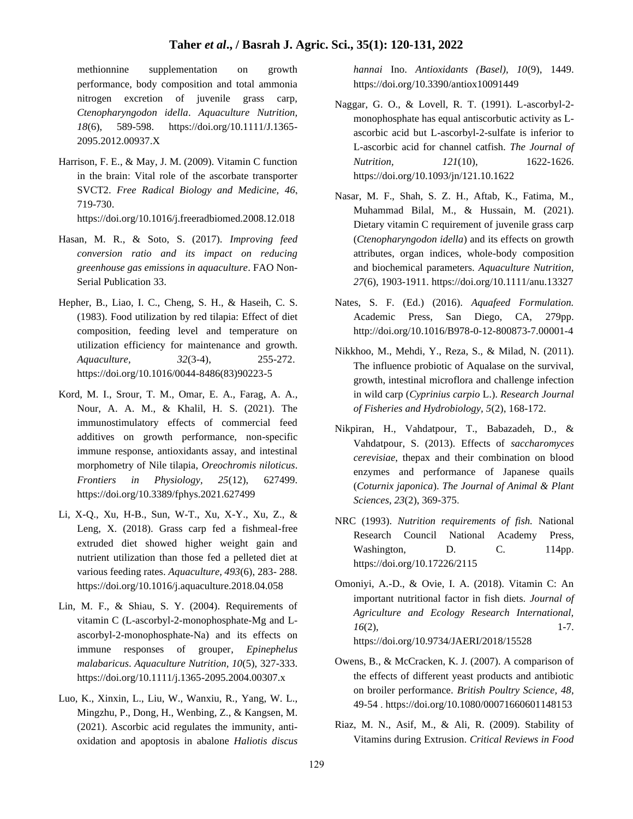#### **Taher** *et al***., / Basrah J. Agric. Sci., 35(1): 120-131, 2022**

methionnine supplementation on growth performance, body composition and total ammonia nitrogen excretion of juvenile grass carp, *Ctenopharyngodon idella*. *Aquaculture Nutrition, 18*(6), 589-598. https://doi.org/10.1111/J.1365- 2095.2012.00937.X

Harrison, F. E., & May, J. M. (2009). Vitamin C function in the brain: Vital role of the ascorbate transporter SVCT2. *Free Radical Biology and Medicine, 46* , 719-730.

https://doi.org/10.1016/j.freeradbiomed.2008.12.018

- Hasan, M. R., & Soto, S. (2017). *Improving feed conversion ratio and its impact on reducing greenhouse gas emissions in aquaculture*. FAO Non-Serial Publication 33.
- Hepher, B., Liao, I. C., Cheng, S. H., & Haseih, C. S. (1983). Food utilization by red tilapia: Effect of diet composition, feeding level and temperature on utilization efficiency for maintenance and growth. *Aquaculture, 32*(3-4), 255-272. https://doi.org/10.1016/0044-8486(83)90223-5
- Kord, M. I., Srour, T. M., Omar, E. A., Farag, A. A., Nour, A. A. M., & Khalil, H. S. (2021). The immunostimulatory effects of commercial feed additives on growth performance, non-specific immune response, antioxidants assay, and intestinal morphometry of Nile tilapia, *Oreochromis niloticus*. *Frontiers in Physiology, 25*(12), 627499. https://doi.org/10.3389/fphys.2021.627499
- Li, X-Q., Xu, H-B., Sun, W-T., Xu, X-Y., Xu, Z., & Leng, X. (2018). Grass carp fed a fishmeal-free extruded diet showed higher weight gain and nutrient utilization than those fed a pelleted diet at various feeding rates. *Aquaculture, 493*(6), 283- 288. https://doi.org/10.1016/j.aquaculture.2018.04.058
- Lin, M. F., & Shiau, S. Y. (2004). Requirements of vitamin C (L-ascorbyl-2-monophosphate-Mg and Lascorbyl-2-monophosphate-Na) and its effects on immune responses of grouper, *Epinephelus malabaricus*. *Aquaculture Nutrition, 10*(5), 327-333. https://doi.org/10.1111/j.1365-2095.2004.00307.x
- Luo, K., Xinxin, L., Liu, W., Wanxiu, R., Yang, W. L., Mingzhu, P., Dong, H., Wenbing, Z., & Kangsen, M. (2021). Ascorbic acid regulates the immunity, antioxidation and apoptosis in abalone *Haliotis discus*

*hannai* Ino. *Antioxidants (Basel), 10*(9), 1449. https://doi.org/10.3390/antiox10091449

- Naggar, G. O., & Lovell, R. T. (1991). L-ascorbyl-2 monophosphate has equal antiscorbutic activity as Lascorbic acid but L-ascorbyl-2-sulfate is inferior to L-ascorbic acid for channel catfish. *The Journal of Nutrition, 121*(10), 1622-1626. https://doi.org/10.1093/jn/121.10.1622
- Nasar, M. F., Shah, S. Z. H., Aftab, K., Fatima, M., Muhammad Bilal, M., & Hussain, M. (2021). Dietary vitamin C requirement of juvenile grass carp (*Ctenopharyngodon idella*) and its effects on growth attributes, organ indices, whole-body composition and biochemical parameters. *Aquaculture Nutrition, 27*(6), 1903-1911. https://doi.org/10.1111/anu.13327
- Nates, S. F. (Ed.) (2016). *Aquafeed Formulation.* Academic Press, San Diego, CA, 279pp. http://doi.org/10.1016/B978-0-12-800873-7.00001-4
- Nikkhoo, M., Mehdi, Y., Reza, S., & Milad, N. (2011). The influence probiotic of Aqualase on the survival, growth, intestinal microflora and challenge infection in wild carp (*Cyprinius carpio* L.). *Research Journal of Fisheries and Hydrobiology, 5*(2), 168-172.
- Nikpiran, H., Vahdatpour, T., Babazadeh, D., & Vahdatpour, S. (2013). Effects of *saccharomyces cerevisiae*, thepax and their combination on blood enzymes and performance of Japanese quails (*Coturnix japonica*). *The Journal of Animal & Plant Sciences, 23*(2), 369-375.
- NRC (1993). *Nutrition requirements of fish.* National Research Council National Academy Press, Washington, D. C. 114pp. https://doi.org/10.17226/2115
- Omoniyi, A.-D., & Ovie, I. A. (2018). Vitamin C: An important nutritional factor in fish diets. *Journal of Agriculture and Ecology Research International, 16*(2), 1-7. https://doi.org/10.9734/JAERI/2018/15528
- Owens, B., & McCracken, K. J. (2007). A comparison of the effects of different yeast products and antibiotic on broiler performance. *British Poultry Science, 48*, 49-54 . https://doi.org/10.1080/00071660601148153
- Riaz, M. N., Asif, M., & Ali, R. (2009). Stability of Vitamins during Extrusion. *Critical Reviews in Food*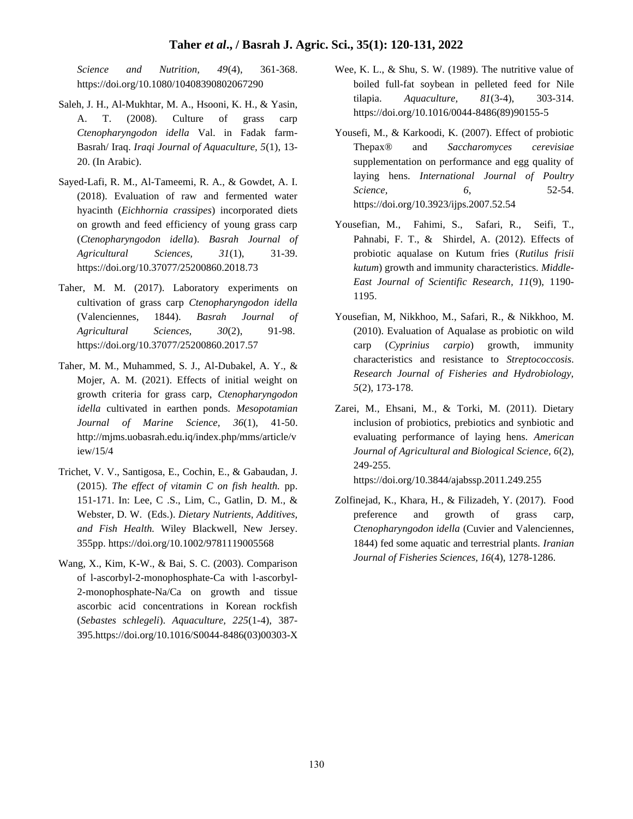#### **Taher** *et al***., / Basrah J. Agric. Sci., 35(1): 120-131, 2022**

*Science and Nutrition, 49*(4), 361-368. https://doi.org/10.1080/10408390802067290

- Saleh, J. H., Al-Mukhtar, M. A., Hsooni, K. H., & Yasin, A. T. (2008). Culture of grass carp *Ctenopharyngodon idella* Val. in Fadak farm-Basrah/ Iraq. *Iraqi Journal of Aquaculture, 5*(1), 13- 20. (In Arabic).
- Sayed-Lafi, R. M., Al-Tameemi, R. A., & Gowdet, A. I. (2018). Evaluation of raw and fermented water hyacinth (*Eichhornia crassipes*) incorporated diets on growth and feed efficiency of young grass carp (*Ctenopharyngodon idella*). *Basrah Journal of Agricultural Sciences, 31*(1), 31-39. https://doi.org/10.37077/25200860.2018.73
- Taher, M. M. (2017). Laboratory experiments on cultivation of grass carp *Ctenopharyngodon idella* (Valenciennes, 1844). *Basrah Journal of Agricultural Sciences, 30*(2), 91-98. https://doi.org/10.37077/25200860.2017.57
- Taher, M. M., Muhammed, S. J., Al-Dubakel, A. Y., & Mojer, A. M. (2021). Effects of initial weight on growth criteria for grass carp, *Ctenopharyngodon idella* cultivated in earthen ponds. *Mesopotamian Journal of Marine Science, 36*(1), 41-50. http://mjms.uobasrah.edu.iq/index.php/mms/article/v iew/15/4
- Trichet, V. V., Santigosa, E., Cochin, E., & Gabaudan, J. (2015). *The effect of vitamin C on fish health.* pp. 151-171. In: Lee, C .S., Lim, C., Gatlin, D. M., & Webster, D. W. (Eds.). *Dietary Nutrients, Additives, and Fish Health.* Wiley Blackwell, New Jersey. 355pp. https://doi.org/10.1002/9781119005568
- Wang, X., Kim, K-W., & Bai, S. C. (2003). Comparison of l-ascorbyl-2-monophosphate-Ca with l-ascorbyl-2-monophosphate-Na/Ca on growth and tissue ascorbic acid concentrations in Korean rockfish (*Sebastes schlegeli*). *Aquaculture, 225*(1-4), 387- 395.https://doi.org/10.1016/S0044-8486(03)00303-X
- Wee, K. L., & Shu, S. W. (1989). The nutritive value of boiled full-fat soybean in pelleted feed for Nile tilapia. *Aquaculture, 81*(3-4), 303-314. https://doi.org/10.1016/0044-8486(89)90155-5
- Yousefi, M., & Karkoodi, K. (2007). Effect of probiotic Thepax® and *Saccharomyces cerevisiae*  supplementation on performance and egg quality of laying hens. *International Journal of Poultry Science, 6*, 52-54. https://doi.org/10.3923/ijps.2007.52.54
- Yousefian, M., Fahimi, S., Safari, R., Seifi, T., Pahnabi, F. T., & Shirdel, A. (2012). Effects of probiotic aqualase on Kutum fries (*Rutilus frisii kutum*) growth and immunity characteristics. *Middle-East Journal of Scientific Research, 11*(9), 1190- 1195.
- Yousefian, M, Nikkhoo, M., Safari, R., & Nikkhoo, M. (2010). Evaluation of Aqualase as probiotic on wild carp (*Cyprinius carpio*) growth, immunity characteristics and resistance to *Streptococcosis*. *Research Journal of Fisheries and Hydrobiology, 5*(2), 173-178.
- Zarei, M., Ehsani, M., & Torki, M. (2011). Dietary inclusion of probiotics, prebiotics and synbiotic and evaluating performance of laying hens. *American Journal of Agricultural and Biological Science, 6*(2), 249-255.

https://doi.org/10.3844/ajabssp.2011.249.255

Zolfinejad, K., Khara, H., & Filizadeh, Y. (2017). Food preference and growth of grass carp, *Ctenopharyngodon idella* (Cuvier and Valenciennes, 1844) fed some aquatic and terrestrial plants. *Iranian Journal of Fisheries Sciences, 16*(4), 1278-1286.